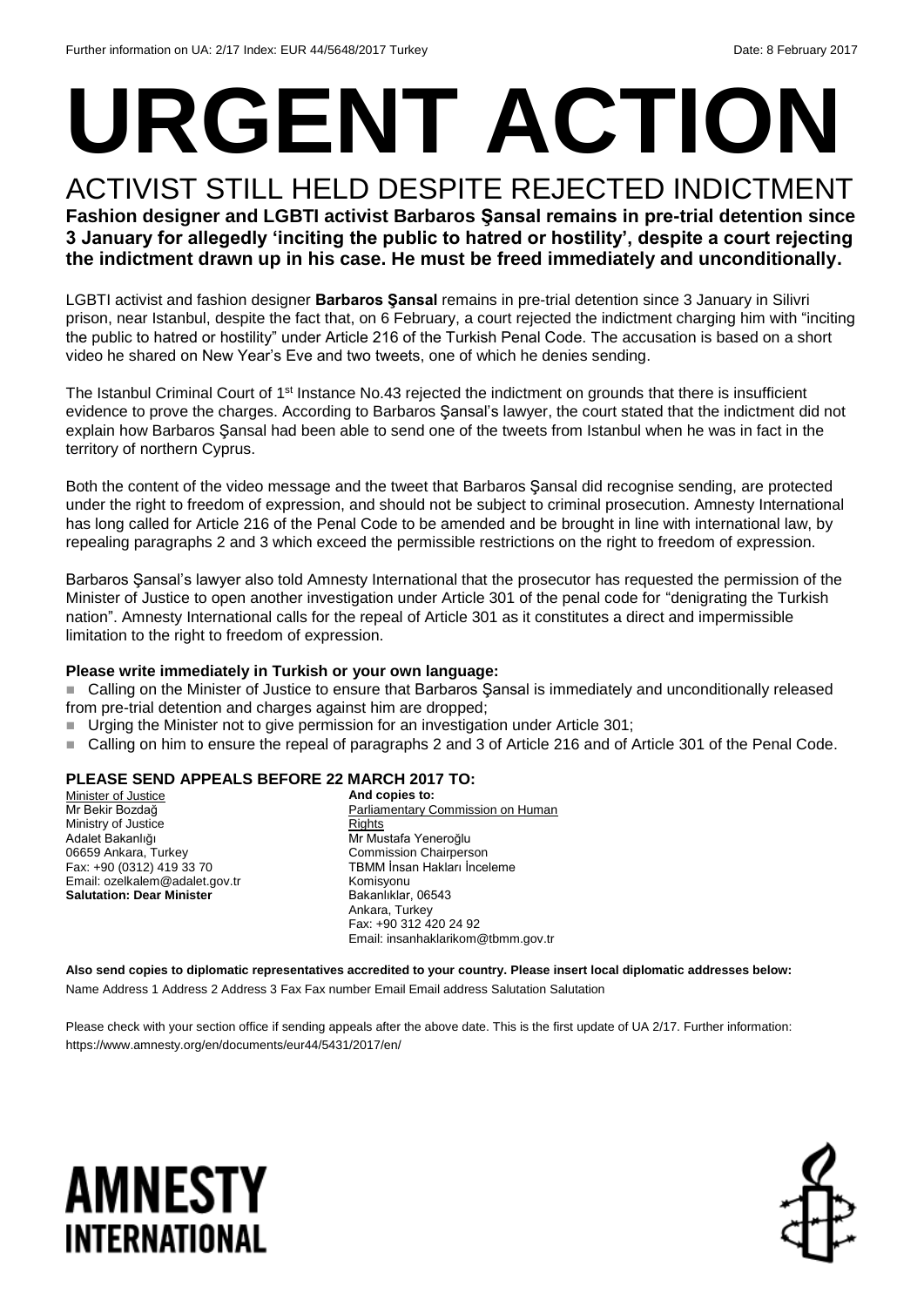# **URGENT ACTION**

ACTIVIST STILL HELD DESPITE REJECTED INDICTMENT **Fashion designer and LGBTI activist Barbaros Şansal remains in pre-trial detention since 3 January for allegedly 'inciting the public to hatred or hostility', despite a court rejecting the indictment drawn up in his case. He must be freed immediately and unconditionally.**

LGBTI activist and fashion designer **Barbaros Şansal** remains in pre-trial detention since 3 January in Silivri prison, near Istanbul, despite the fact that, on 6 February, a court rejected the indictment charging him with "inciting the public to hatred or hostility" under Article 216 of the Turkish Penal Code. The accusation is based on a short video he shared on New Year's Eve and two tweets, one of which he denies sending.

The Istanbul Criminal Court of 1<sup>st</sup> Instance No.43 rejected the indictment on grounds that there is insufficient evidence to prove the charges. According to Barbaros Şansal's lawyer, the court stated that the indictment did not explain how Barbaros Şansal had been able to send one of the tweets from Istanbul when he was in fact in the territory of northern Cyprus.

Both the content of the video message and the tweet that Barbaros Şansal did recognise sending, are protected under the right to freedom of expression, and should not be subject to criminal prosecution. Amnesty International has long called for Article 216 of the Penal Code to be amended and be brought in line with international law, by repealing paragraphs 2 and 3 which exceed the permissible restrictions on the right to freedom of expression.

Barbaros Şansal's lawyer also told Amnesty International that the prosecutor has requested the permission of the Minister of Justice to open another investigation under Article 301 of the penal code for "denigrating the Turkish nation". Amnesty International calls for the repeal of Article 301 as it constitutes a direct and impermissible limitation to the right to freedom of expression.

### **Please write immediately in Turkish or your own language:**

■ Calling on the Minister of Justice to ensure that Barbaros Sansal is immediately and unconditionally released from pre-trial detention and charges against him are dropped;

- Urging the Minister not to give permission for an investigation under Article 301;
- Calling on him to ensure the repeal of paragraphs 2 and 3 of Article 216 and of Article 301 of the Penal Code.

### **PLEASE SEND APPEALS BEFORE 22 MARCH 2017 TO:**

Minister of Justice Mr Bekir Bozdağ Ministry of Justice Adalet Bakanlığı 06659 Ankara, Turkey Fax: +90 (0312) 419 33 70 Email: ozelkalem@adalet.gov.tr **Salutation: Dear Minister**

**And copies to:** Parliamentary Commission on Human **Rights** Mr Mustafa Yeneroğlu Commission Chairperson TBMM İnsan Hakları İnceleme Komisyonu Bakanlıklar, 06543 Ankara, Turkey Fax: +90 312 420 24 92 Email: insanhaklarikom@tbmm.gov.tr

**Also send copies to diplomatic representatives accredited to your country. Please insert local diplomatic addresses below:** Name Address 1 Address 2 Address 3 Fax Fax number Email Email address Salutation Salutation

Please check with your section office if sending appeals after the above date. This is the first update of UA 2/17. Further information: https://www.amnesty.org/en/documents/eur44/5431/2017/en/